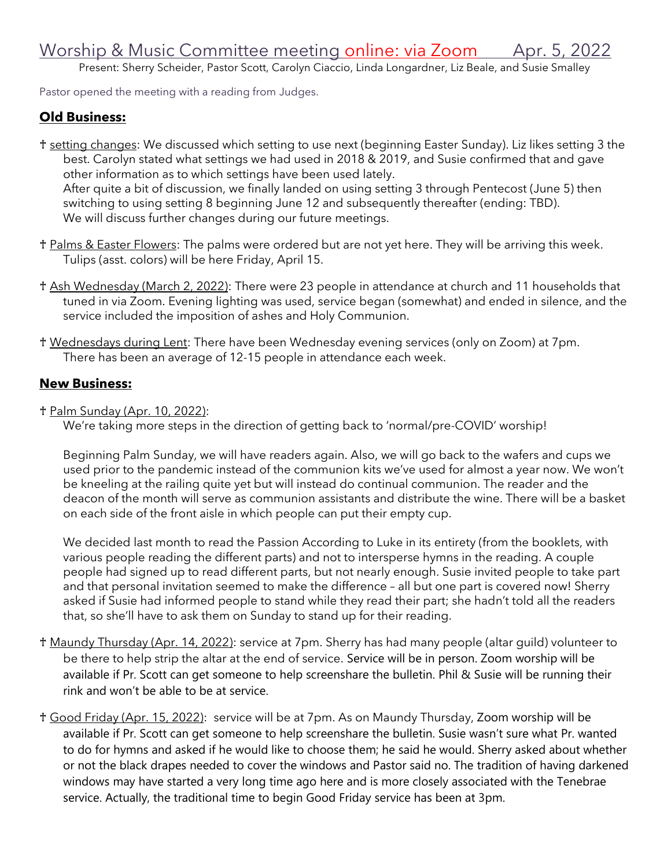## Worship & Music Committee meeting online: via Zoom Apr. 5, 2022

Present: Sherry Scheider, Pastor Scott, Carolyn Ciaccio, Linda Longardner, Liz Beale, and Susie Smalley

Pastor opened the meeting with a reading from Judges.

## **Old Business:**

- ♰ setting changes: We discussed which setting to use next (beginning Easter Sunday). Liz likes setting 3 the best. Carolyn stated what settings we had used in 2018 & 2019, and Susie confirmed that and gave other information as to which settings have been used lately. After quite a bit of discussion, we finally landed on using setting 3 through Pentecost (June 5) then switching to using setting 8 beginning June 12 and subsequently thereafter (ending: TBD). We will discuss further changes during our future meetings.
- t Palms & Easter Flowers: The palms were ordered but are not yet here. They will be arriving this week. Tulips (asst. colors) will be here Friday, April 15.
- ♰ Ash Wednesday (March 2, 2022): There were 23 people in attendance at church and 11 households that tuned in via Zoom. Evening lighting was used, service began (somewhat) and ended in silence, and the service included the imposition of ashes and Holy Communion.
- ♰ Wednesdays during Lent: There have been Wednesday evening services (only on Zoom) at 7pm. There has been an average of 12-15 people in attendance each week.

## **New Business:**

♰ Palm Sunday (Apr. 10, 2022):

We're taking more steps in the direction of getting back to 'normal/pre-COVID' worship!

Beginning Palm Sunday, we will have readers again. Also, we will go back to the wafers and cups we used prior to the pandemic instead of the communion kits we've used for almost a year now. We won't be kneeling at the railing quite yet but will instead do continual communion. The reader and the deacon of the month will serve as communion assistants and distribute the wine. There will be a basket on each side of the front aisle in which people can put their empty cup.

We decided last month to read the Passion According to Luke in its entirety (from the booklets, with various people reading the different parts) and not to intersperse hymns in the reading. A couple people had signed up to read different parts, but not nearly enough. Susie invited people to take part and that personal invitation seemed to make the difference – all but one part is covered now! Sherry asked if Susie had informed people to stand while they read their part; she hadn't told all the readers that, so she'll have to ask them on Sunday to stand up for their reading.

- ♰ Maundy Thursday (Apr. 14, 2022): service at 7pm. Sherry has had many people (altar guild) volunteer to be there to help strip the altar at the end of service. Service will be in person. Zoom worship will be available if Pr. Scott can get someone to help screenshare the bulletin. Phil & Susie will be running their rink and won't be able to be at service.
- ♰ Good Friday (Apr. 15, 2022): service will be at 7pm. As on Maundy Thursday, Zoom worship will be available if Pr. Scott can get someone to help screenshare the bulletin. Susie wasn't sure what Pr. wanted to do for hymns and asked if he would like to choose them; he said he would. Sherry asked about whether or not the black drapes needed to cover the windows and Pastor said no. The tradition of having darkened windows may have started a very long time ago here and is more closely associated with the Tenebrae service. Actually, the traditional time to begin Good Friday service has been at 3pm.